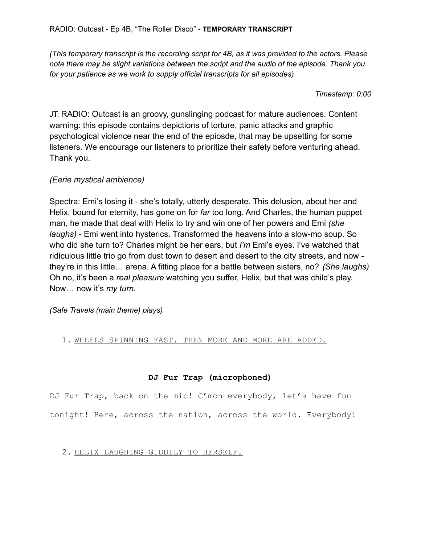*(This temporary transcript is the recording script for 4B, as it was provided to the actors. Please note there may be slight variations between the script and the audio of the episode. Thank you for your patience as we work to supply official transcripts for all episodes)*

*Timestamp: 0:00*

JT: RADIO: Outcast is an groovy, gunslinging podcast for mature audiences. Content warning: this episode contains depictions of torture, panic attacks and graphic psychological violence near the end of the epiosde, that may be upsetting for some listeners. We encourage our listeners to prioritize their safety before venturing ahead. Thank you.

# *(Eerie mystical ambience)*

Spectra: Emi's losing it - she's totally, utterly desperate. This delusion, about her and Helix, bound for eternity, has gone on for *far* too long. And Charles, the human puppet man, he made that deal with Helix to try and win one of her powers and Emi *(she laughs)* - Emi went into hysterics. Transformed the heavens into a slow-mo soup. So who did she turn to? Charles might be her ears, but *I'm* Emi's eyes. I've watched that ridiculous little trio go from dust town to desert and desert to the city streets, and now they're in this little… arena. A fitting place for a battle between sisters, no? *(She laughs)* Oh no, it's been a *real pleasure* watching you suffer, Helix, but that was child's play. Now… now it's *my turn.*

*(Safe Travels (main theme) plays)*

1. WHEELS SPINNING FAST. THEN MORE AND MORE ARE ADDED.

# **DJ Fur Trap (microphoned)**

DJ Fur Trap, back on the mic! C'mon everybody, let's have fun tonight! Here, across the nation, across the world. Everybody!

# 2. HELIX LAUGHING GIDDILY TO HERSELF.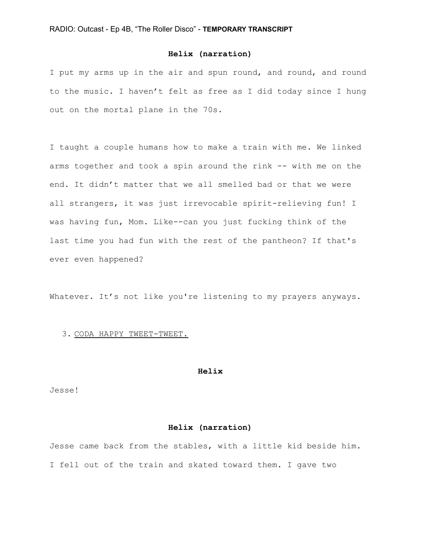## **Helix (narration)**

I put my arms up in the air and spun round, and round, and round to the music. I haven't felt as free as I did today since I hung out on the mortal plane in the 70s.

I taught a couple humans how to make a train with me. We linked arms together and took a spin around the rink -- with me on the end. It didn't matter that we all smelled bad or that we were all strangers, it was just irrevocable spirit-relieving fun! I was having fun, Mom. Like--can you just fucking think of the last time you had fun with the rest of the pantheon? If that's ever even happened?

Whatever. It's not like you're listening to my prayers anyways.

## 3. CODA HAPPY TWEET-TWEET.

#### **Helix**

Jesse!

## **Helix (narration)**

Jesse came back from the stables, with a little kid beside him. I fell out of the train and skated toward them. I gave two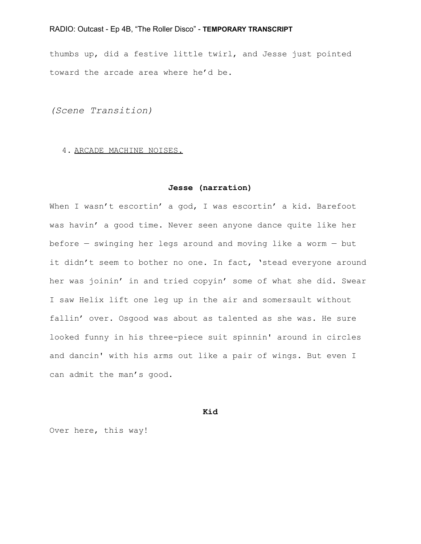thumbs up, did a festive little twirl, and Jesse just pointed toward the arcade area where he'd be.

*(Scene Transition)*

#### 4. ARCADE MACHINE NOISES.

#### **Jesse (narration)**

When I wasn't escortin' a god, I was escortin' a kid. Barefoot was havin' a good time. Never seen anyone dance quite like her before — swinging her legs around and moving like a worm — but it didn't seem to bother no one. In fact, 'stead everyone around her was joinin' in and tried copyin' some of what she did. Swear I saw Helix lift one leg up in the air and somersault without fallin' over. Osgood was about as talented as she was. He sure looked funny in his three-piece suit spinnin' around in circles and dancin' with his arms out like a pair of wings. But even I can admit the man's good.

#### **Kid**

Over here, this way!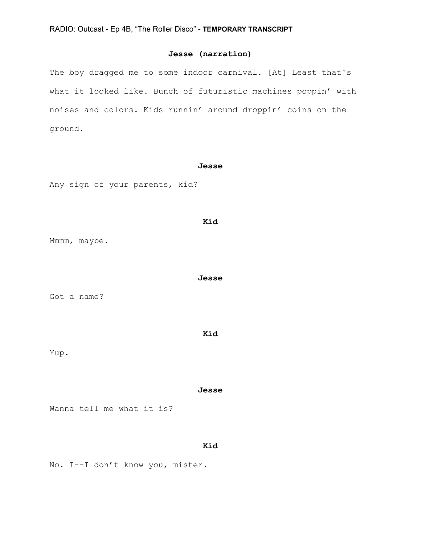# **Jesse (narration)**

The boy dragged me to some indoor carnival. [At] Least that's what it looked like. Bunch of futuristic machines poppin' with noises and colors. Kids runnin' around droppin' coins on the ground.

#### **Jesse**

**Kid**

**Jesse**

Any sign of your parents, kid?

## Mmmm, maybe.

Got a name?

#### **Kid**

Yup.

#### **Jesse**

Wanna tell me what it is?

# **Kid**

No. I--I don't know you, mister.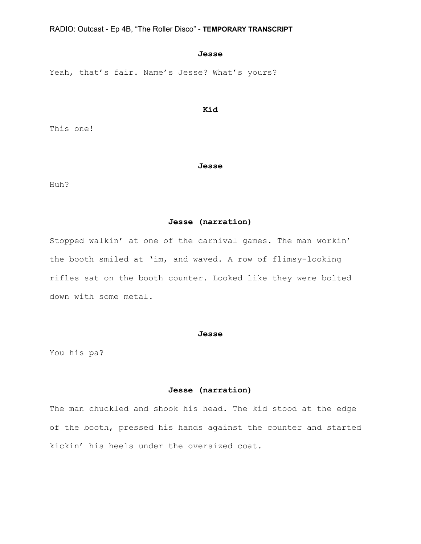#### **Jesse**

Yeah, that's fair. Name's Jesse? What's yours?

## **Kid**

This one!

#### **Jesse**

Huh?

## **Jesse (narration)**

Stopped walkin' at one of the carnival games. The man workin' the booth smiled at 'im, and waved. A row of flimsy-looking rifles sat on the booth counter. Looked like they were bolted down with some metal.

## **Jesse**

You his pa?

## **Jesse (narration)**

The man chuckled and shook his head. The kid stood at the edge of the booth, pressed his hands against the counter and started kickin' his heels under the oversized coat.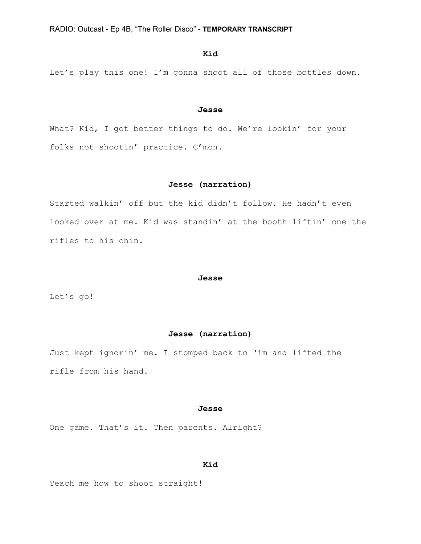## **Kid**

Let's play this one! I'm gonna shoot all of those bottles down.

#### **Jesse**

What? Kid, I got better things to do. We're lookin' for your folks not shootin' practice. C'mon.

#### **Jesse (narration)**

Started walkin' off but the kid didn't follow. He hadn't even looked over at me. Kid was standin' at the booth liftin' one the rifles to his chin.

#### **Jesse**

Let's go!

#### **Jesse (narration)**

Just kept ignorin' me. I stomped back to 'im and lifted the rifle from his hand.

#### **Jesse**

One game. That's it. Then parents. Alright?

## **Kid**

Teach me how to shoot straight!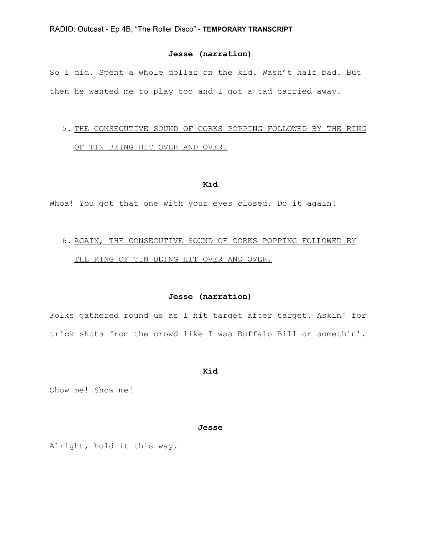## **Jesse (narration)**

So I did. Spent a whole dollar on the kid. Wasn't half bad. But then he wanted me to play too and I got a tad carried away.

# 5. THE CONSECUTIVE SOUND OF CORKS POPPING FOLLOWED BY THE RING OF TIN BEING HIT OVER AND OVER.

#### **Kid**

Whoa! You got that one with your eyes closed. Do it again!

# 6. AGAIN, THE CONSECUTIVE SOUND OF CORKS POPPING FOLLOWED BY THE RING OF TIN BEING HIT OVER AND OVER.

### **Jesse (narration)**

Folks gathered round us as I hit target after target. Askin' for trick shots from the crowd like I was Buffalo Bill or somethin'.

**Kid**

Show me! Show me!

#### **Jesse**

Alright, hold it this way.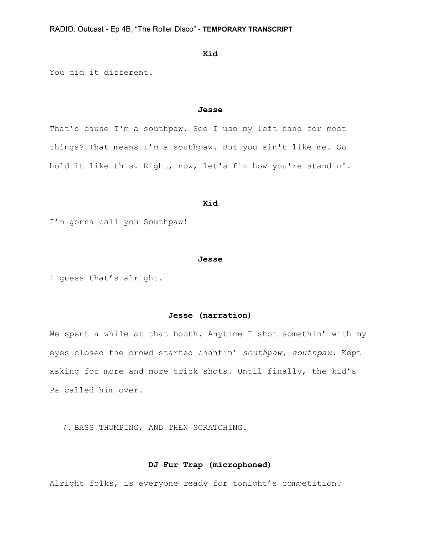## **Kid**

You did it different.

#### **Jesse**

That's cause I'm a southpaw. See I use my left hand for most things? That means I'm a southpaw. But you ain't like me. So hold it like this. Right, now, let's fix how you're standin'.

#### **Kid**

I'm gonna call you Southpaw!

#### **Jesse**

I guess that's alright.

# **Jesse (narration)**

We spent a while at that booth. Anytime I shot somethin' with my eyes closed the crowd started chantin' *southpaw, southpaw.* Kept asking for more and more trick shots. Until finally, the kid's Pa called him over.

# 7. BASS THUMPING, AND THEN SCRATCHING.

# **DJ Fur Trap (microphoned)**

Alright folks, is everyone ready for tonight's competition?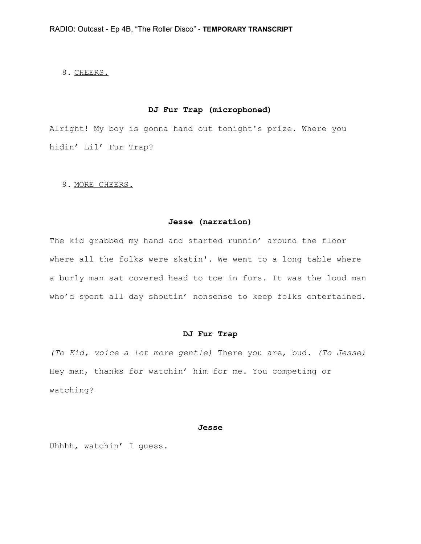# 8. CHEERS.

# **DJ Fur Trap (microphoned)**

Alright! My boy is gonna hand out tonight's prize. Where you hidin' Lil' Fur Trap?

# 9. MORE CHEERS.

## **Jesse (narration)**

The kid grabbed my hand and started runnin' around the floor where all the folks were skatin'. We went to a long table where a burly man sat covered head to toe in furs. It was the loud man who'd spent all day shoutin' nonsense to keep folks entertained.

## **DJ Fur Trap**

*(To Kid, voice a lot more gentle)* There you are, bud. *(To Jesse)* Hey man, thanks for watchin' him for me. You competing or watching?

## **Jesse**

Uhhhh, watchin' I guess.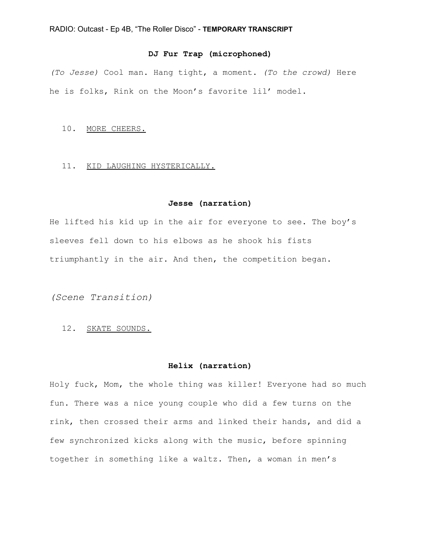# **DJ Fur Trap (microphoned)**

*(To Jesse)* Cool man. Hang tight, a moment. *(To the crowd)* Here he is folks, Rink on the Moon's favorite lil' model.

## 10. MORE CHEERS.

## 11. KID LAUGHING HYSTERICALLY.

### **Jesse (narration)**

He lifted his kid up in the air for everyone to see. The boy's sleeves fell down to his elbows as he shook his fists triumphantly in the air. And then, the competition began.

*(Scene Transition)*

# 12. SKATE SOUNDS.

## **Helix (narration)**

Holy fuck, Mom, the whole thing was killer! Everyone had so much fun. There was a nice young couple who did a few turns on the rink, then crossed their arms and linked their hands, and did a few synchronized kicks along with the music, before spinning together in something like a waltz. Then, a woman in men's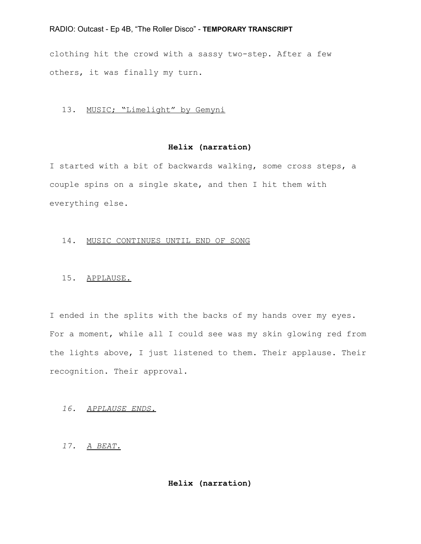clothing hit the crowd with a sassy two-step. After a few others, it was finally my turn.

# 13. MUSIC; "Limelight" by Gemyni

# **Helix (narration)**

I started with a bit of backwards walking, some cross steps, a couple spins on a single skate, and then I hit them with everything else.

## 14. MUSIC CONTINUES UNTIL END OF SONG

#### 15. APPLAUSE.

I ended in the splits with the backs of my hands over my eyes. For a moment, while all I could see was my skin glowing red from the lights above, I just listened to them. Their applause. Their recognition. Their approval.

## *16. APPLAUSE ENDS.*

# *17. A BEAT.*

# **Helix (narration)**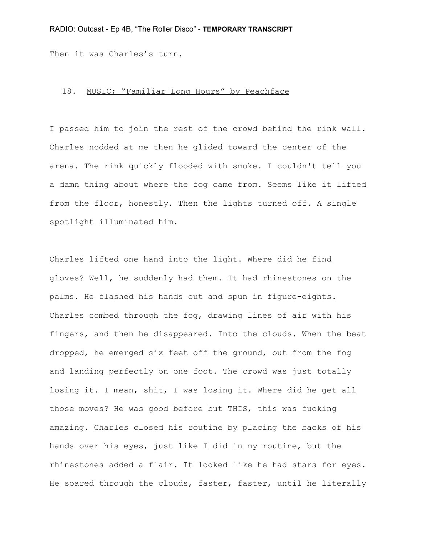Then it was Charles's turn.

# 18. MUSIC; "Familiar Long Hours" by Peachface

I passed him to join the rest of the crowd behind the rink wall. Charles nodded at me then he glided toward the center of the arena. The rink quickly flooded with smoke. I couldn't tell you a damn thing about where the fog came from. Seems like it lifted from the floor, honestly. Then the lights turned off. A single spotlight illuminated him.

Charles lifted one hand into the light. Where did he find gloves? Well, he suddenly had them. It had rhinestones on the palms. He flashed his hands out and spun in figure-eights. Charles combed through the fog, drawing lines of air with his fingers, and then he disappeared. Into the clouds. When the beat dropped, he emerged six feet off the ground, out from the fog and landing perfectly on one foot. The crowd was just totally losing it. I mean, shit, I was losing it. Where did he get all those moves? He was good before but THIS, this was fucking amazing. Charles closed his routine by placing the backs of his hands over his eyes, just like I did in my routine, but the rhinestones added a flair. It looked like he had stars for eyes. He soared through the clouds, faster, faster, until he literally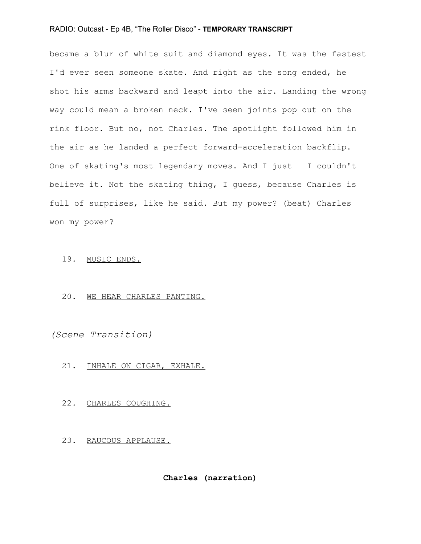became a blur of white suit and diamond eyes. It was the fastest I'd ever seen someone skate. And right as the song ended, he shot his arms backward and leapt into the air. Landing the wrong way could mean a broken neck. I've seen joints pop out on the rink floor. But no, not Charles. The spotlight followed him in the air as he landed a perfect forward-acceleration backflip. One of skating's most legendary moves. And I just — I couldn't believe it. Not the skating thing, I guess, because Charles is full of surprises, like he said. But my power? (beat) Charles won my power?

## 19. MUSIC ENDS.

## 20. WE HEAR CHARLES PANTING.

*(Scene Transition)*

## 21. INHALE ON CIGAR, EXHALE.

#### 22. CHARLES COUGHING.

## 23. RAUCOUS APPLAUSE.

**Charles (narration)**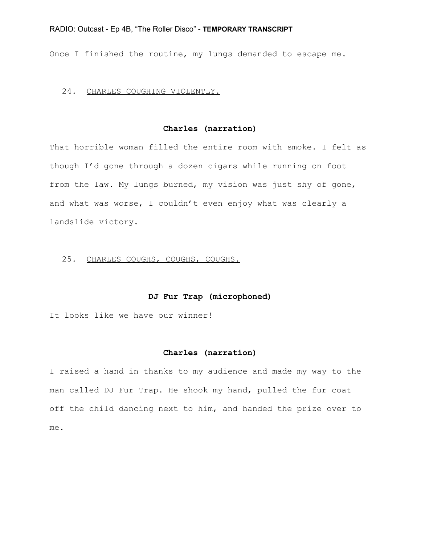Once I finished the routine, my lungs demanded to escape me.

## 24. CHARLES COUGHING VIOLENTLY.

# **Charles (narration)**

That horrible woman filled the entire room with smoke. I felt as though I'd gone through a dozen cigars while running on foot from the law. My lungs burned, my vision was just shy of gone, and what was worse, I couldn't even enjoy what was clearly a landslide victory.

#### 25. CHARLES COUGHS, COUGHS, COUGHS.

## **DJ Fur Trap (microphoned)**

It looks like we have our winner!

## **Charles (narration)**

I raised a hand in thanks to my audience and made my way to the man called DJ Fur Trap. He shook my hand, pulled the fur coat off the child dancing next to him, and handed the prize over to me.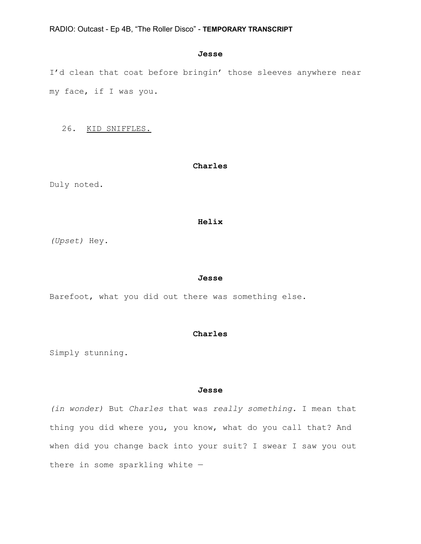## **Jesse**

I'd clean that coat before bringin' those sleeves anywhere near my face, if I was you.

26. KID SNIFFLES.

## **Charles**

Duly noted.

#### **Helix**

*(Upset)* Hey.

#### **Jesse**

Barefoot, what you did out there was something else.

## **Charles**

Simply stunning.

### **Jesse**

*(in wonder)* But *Charles* that was *really something.* I mean that thing you did where you, you know, what do you call that? And when did you change back into your suit? I swear I saw you out there in some sparkling white —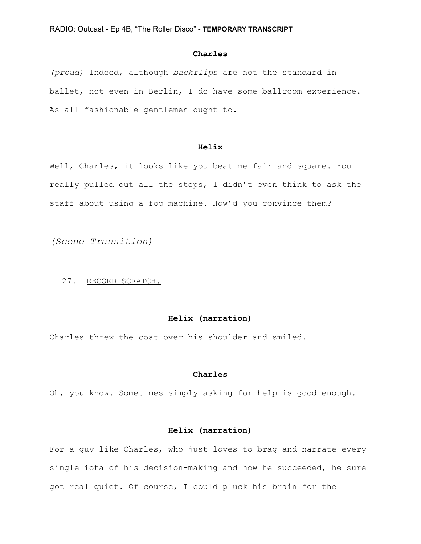## **Charles**

*(proud)* Indeed, although *backflips* are not the standard in ballet, not even in Berlin, I do have some ballroom experience. As all fashionable gentlemen ought to.

# **Helix**

Well, Charles, it looks like you beat me fair and square. You really pulled out all the stops, I didn't even think to ask the staff about using a fog machine. How'd you convince them?

*(Scene Transition)*

#### 27. RECORD SCRATCH.

# **Helix (narration)**

Charles threw the coat over his shoulder and smiled.

## **Charles**

Oh, you know. Sometimes simply asking for help is good enough.

# **Helix (narration)**

For a guy like Charles, who just loves to brag and narrate every single iota of his decision-making and how he succeeded, he sure got real quiet. Of course, I could pluck his brain for the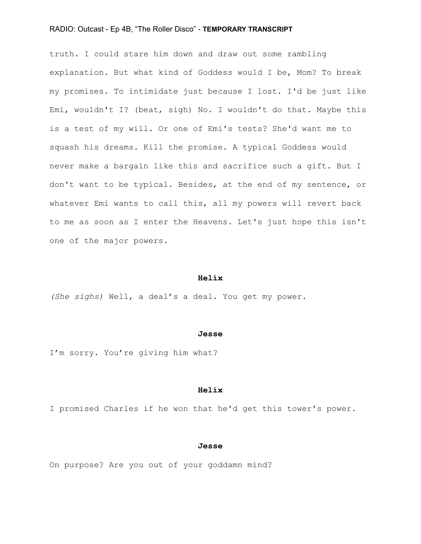truth. I could stare him down and draw out some rambling explanation. But what kind of Goddess would I be, Mom? To break my promises. To intimidate just because I lost. I'd be just like Emi, wouldn't I? (beat, sigh) No. I wouldn't do that. Maybe this is a test of my will. Or one of Emi's tests? She'd want me to squash his dreams. Kill the promise. A typical Goddess would never make a bargain like this and sacrifice such a gift. But I don't want to be typical. Besides, at the end of my sentence, or whatever Emi wants to call this, all my powers will revert back to me as soon as I enter the Heavens. Let's just hope this isn't one of the major powers.

#### **Helix**

*(She sighs)* Well, a deal's a deal. You get my power.

#### **Jesse**

I'm sorry. You're giving him what?

### **Helix**

I promised Charles if he won that he'd get this tower's power.

## **Jesse**

On purpose? Are you out of your goddamn mind?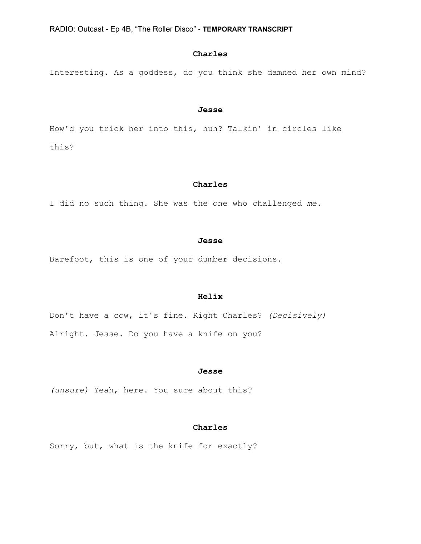## **Charles**

Interesting. As a goddess, do you think she damned her own mind?

#### **Jesse**

How'd you trick her into this, huh? Talkin' in circles like this?

## **Charles**

I did no such thing. She was the one who challenged *me*.

#### **Jesse**

Barefoot, this is one of your dumber decisions.

## **Helix**

Don't have a cow, it's fine. Right Charles? *(Decisively)* Alright. Jesse. Do you have a knife on you?

#### **Jesse**

*(unsure)* Yeah, here. You sure about this?

# **Charles**

Sorry, but, what is the knife for exactly?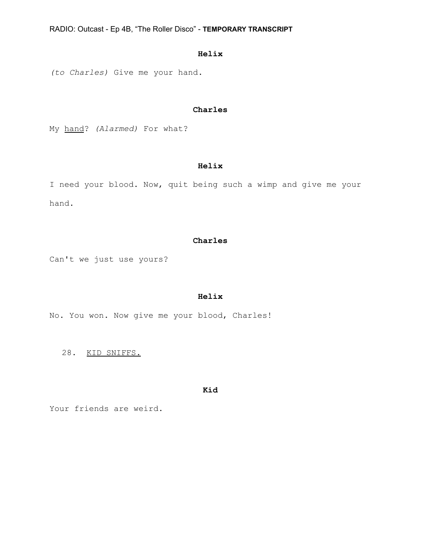# **Helix**

*(to Charles)* Give me your hand.

# **Charles**

My hand? *(Alarmed)* For what?

# **Helix**

I need your blood. Now, quit being such a wimp and give me your hand.

## **Charles**

Can't we just use yours?

## **Helix**

No. You won. Now give me your blood, Charles!

28. KID SNIFFS.

## **Kid**

Your friends are weird.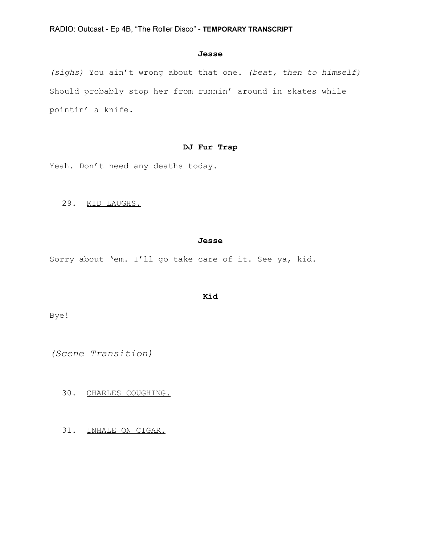# **Jesse**

*(sighs)* You ain't wrong about that one. *(beat, then to himself)* Should probably stop her from runnin' around in skates while pointin' a knife.

# **DJ Fur Trap**

Yeah. Don't need any deaths today.

29. KID LAUGHS.

## **Jesse**

Sorry about 'em. I'll go take care of it. See ya, kid.

## **Kid**

Bye!

*(Scene Transition)*

30. CHARLES COUGHING.

31. INHALE ON CIGAR.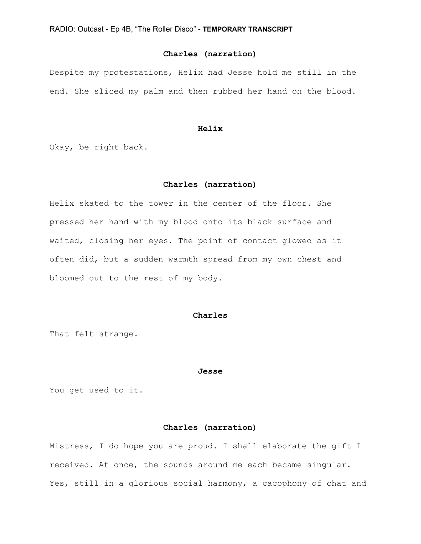# **Charles (narration)**

Despite my protestations, Helix had Jesse hold me still in the end. She sliced my palm and then rubbed her hand on the blood.

## **Helix**

Okay, be right back.

# **Charles (narration)**

Helix skated to the tower in the center of the floor. She pressed her hand with my blood onto its black surface and waited, closing her eyes. The point of contact glowed as it often did, but a sudden warmth spread from my own chest and bloomed out to the rest of my body.

## **Charles**

That felt strange.

#### **Jesse**

You get used to it.

## **Charles (narration)**

Mistress, I do hope you are proud. I shall elaborate the gift I received. At once, the sounds around me each became singular. Yes, still in a glorious social harmony, a cacophony of chat and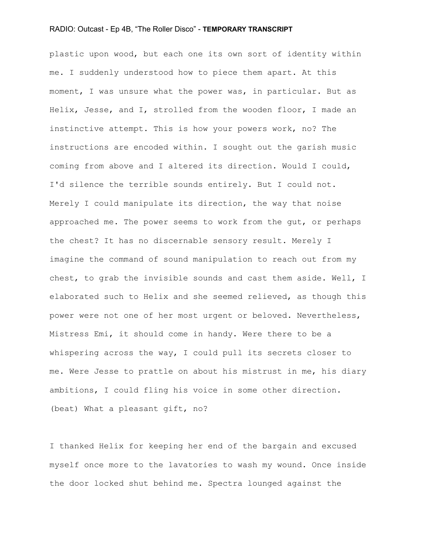plastic upon wood, but each one its own sort of identity within me. I suddenly understood how to piece them apart. At this moment, I was unsure what the power was, in particular. But as Helix, Jesse, and I, strolled from the wooden floor, I made an instinctive attempt. This is how your powers work, no? The instructions are encoded within. I sought out the garish music coming from above and I altered its direction. Would I could, I'd silence the terrible sounds entirely. But I could not. Merely I could manipulate its direction, the way that noise approached me. The power seems to work from the gut, or perhaps the chest? It has no discernable sensory result. Merely I imagine the command of sound manipulation to reach out from my chest, to grab the invisible sounds and cast them aside. Well, I elaborated such to Helix and she seemed relieved, as though this power were not one of her most urgent or beloved. Nevertheless, Mistress Emi, it should come in handy. Were there to be a whispering across the way, I could pull its secrets closer to me. Were Jesse to prattle on about his mistrust in me, his diary ambitions, I could fling his voice in some other direction. (beat) What a pleasant gift, no?

I thanked Helix for keeping her end of the bargain and excused myself once more to the lavatories to wash my wound. Once inside the door locked shut behind me. Spectra lounged against the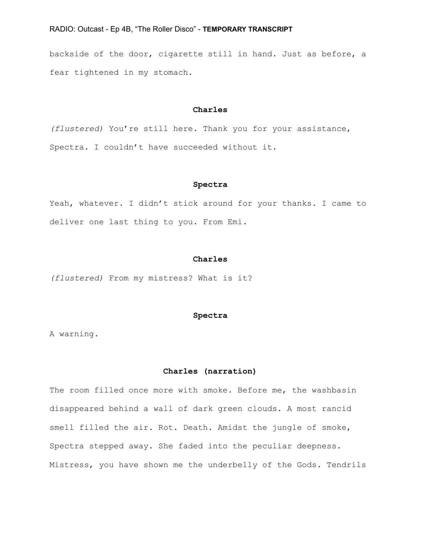backside of the door, cigarette still in hand. Just as before, a fear tightened in my stomach.

## **Charles**

*(flustered)* You're still here. Thank you for your assistance, Spectra. I couldn't have succeeded without it.

## **Spectra**

Yeah, whatever. I didn't stick around for your thanks. I came to deliver one last thing to you. From Emi.

#### **Charles**

*(flustered)* From my mistress? What is it?

## **Spectra**

A warning.

#### **Charles (narration)**

The room filled once more with smoke. Before me, the washbasin disappeared behind a wall of dark green clouds. A most rancid smell filled the air. Rot. Death. Amidst the jungle of smoke, Spectra stepped away. She faded into the peculiar deepness. Mistress, you have shown me the underbelly of the Gods. Tendrils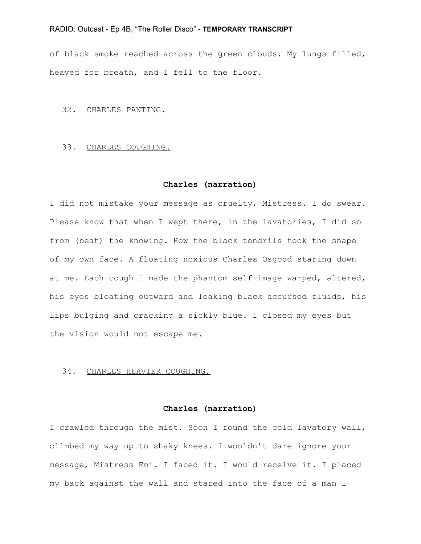of black smoke reached across the green clouds. My lungs filled, heaved for breath, and I fell to the floor.

## 32. CHARLES PANTING.

## 33. CHARLES COUGHING.

#### **Charles (narration)**

I did not mistake your message as cruelty, Mistress. I do swear. Please know that when I wept there, in the lavatories, I did so from (beat) the knowing. How the black tendrils took the shape of my own face. A floating noxious Charles Osgood staring down at me. Each cough I made the phantom self-image warped, altered, his eyes bloating outward and leaking black accursed fluids, his lips bulging and cracking a sickly blue. I closed my eyes but the vision would not escape me.

#### 34. CHARLES HEAVIER COUGHING.

## **Charles (narration)**

I crawled through the mist. Soon I found the cold lavatory wall, climbed my way up to shaky knees. I wouldn't dare ignore your message, Mistress Emi. I faced it. I would receive it. I placed my back against the wall and stared into the face of a man I